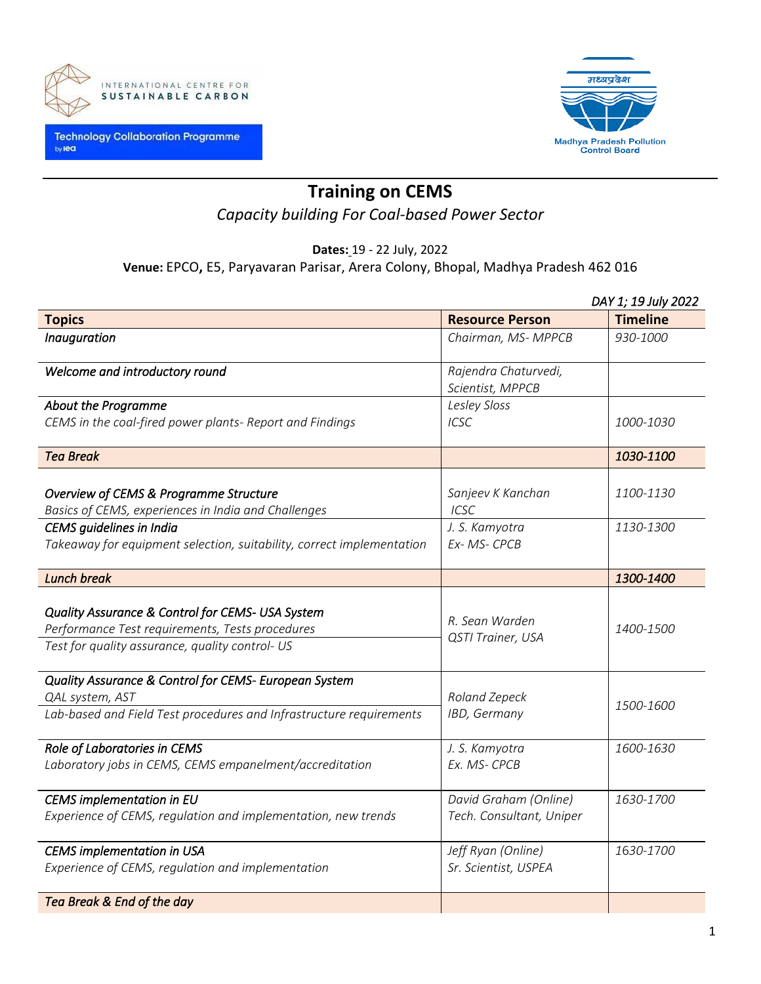



# **Training on CEMS**

## *Capacity building For Coal-based Power Sector*

### **Dates:** 19 - 22 July, 2022

**Venue:** EPCO**,** E5, Paryavaran Parisar, Arera Colony, Bhopal, Madhya Pradesh 462 016

|                                                                                        | DAY 1; 19 July 2022      |                  |  |
|----------------------------------------------------------------------------------------|--------------------------|------------------|--|
| <b>Topics</b>                                                                          | <b>Resource Person</b>   | <b>Timeline</b>  |  |
| Inauguration                                                                           | Chairman, MS- MPPCB      | 930-1000         |  |
|                                                                                        |                          |                  |  |
| Welcome and introductory round                                                         | Rajendra Chaturvedi,     |                  |  |
|                                                                                        | Scientist, MPPCB         |                  |  |
| About the Programme                                                                    | Lesley Sloss             |                  |  |
| CEMS in the coal-fired power plants- Report and Findings                               | <b>ICSC</b>              | 1000-1030        |  |
| <b>Tea Break</b>                                                                       |                          | 1030-1100        |  |
|                                                                                        |                          |                  |  |
| Overview of CEMS & Programme Structure                                                 | Sanjeev K Kanchan        | 1100-1130        |  |
| Basics of CEMS, experiences in India and Challenges                                    | ICSC                     |                  |  |
| CEMS guidelines in India                                                               | J. S. Kamyotra           | 1130-1300        |  |
| Takeaway for equipment selection, suitability, correct implementation                  | Ex-MS-CPCB               |                  |  |
|                                                                                        |                          |                  |  |
| <b>Lunch break</b>                                                                     |                          | 1300-1400        |  |
|                                                                                        |                          |                  |  |
| Quality Assurance & Control for CEMS- USA System                                       | R. Sean Warden           |                  |  |
| Performance Test requirements, Tests procedures                                        | QSTI Trainer, USA        | <i>1400-1500</i> |  |
| Test for quality assurance, quality control- US                                        |                          |                  |  |
|                                                                                        |                          |                  |  |
| Quality Assurance & Control for CEMS- European System                                  |                          |                  |  |
| QAL system, AST<br>Lab-based and Field Test procedures and Infrastructure requirements | Roland Zepeck            | <i>1500-1600</i> |  |
|                                                                                        | IBD, Germany             |                  |  |
| Role of Laboratories in CEMS                                                           | J. S. Kamyotra           | 1600-1630        |  |
| Laboratory jobs in CEMS, CEMS empanelment/accreditation                                | Ex. MS- CPCB             |                  |  |
|                                                                                        |                          |                  |  |
| CEMS implementation in EU                                                              | David Graham (Online)    | 1630-1700        |  |
| Experience of CEMS, regulation and implementation, new trends                          | Tech. Consultant, Uniper |                  |  |
|                                                                                        |                          |                  |  |
| <b>CEMS</b> implementation in USA                                                      | Jeff Ryan (Online)       | 1630-1700        |  |
| Experience of CEMS, regulation and implementation                                      | Sr. Scientist, USPEA     |                  |  |
|                                                                                        |                          |                  |  |
| Tea Break & End of the day                                                             |                          |                  |  |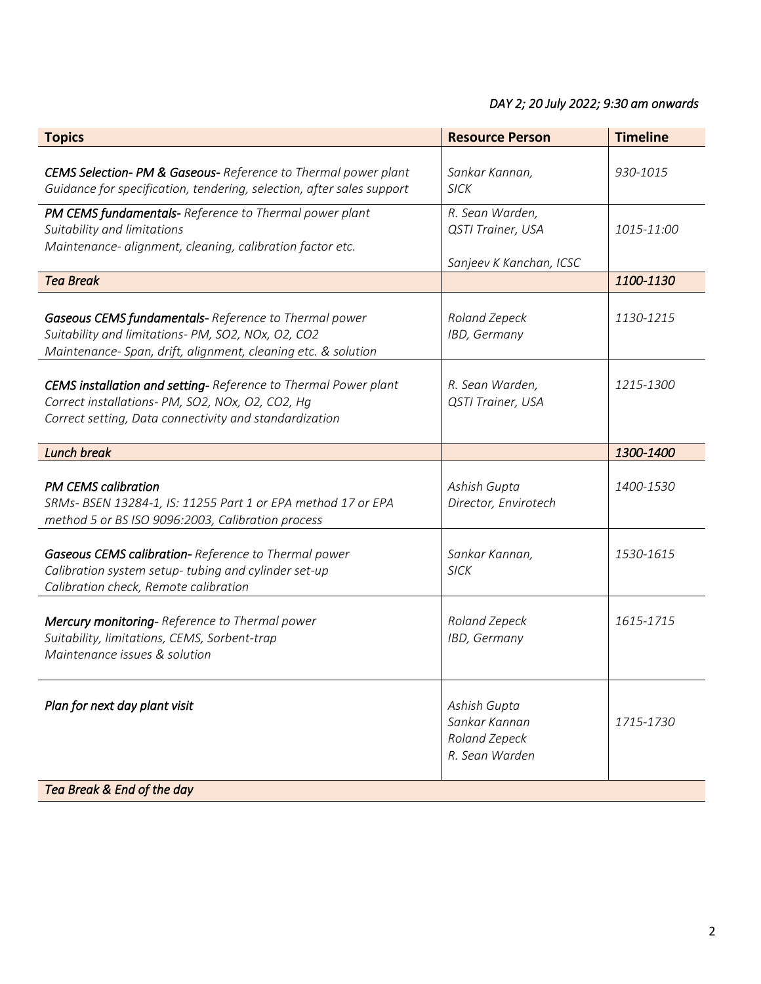### *DAY 2; 20 July 2022; 9:30 am onwards*

| <b>Topics</b>                                                                                                                                                                 | <b>Resource Person</b>                                           | <b>Timeline</b> |
|-------------------------------------------------------------------------------------------------------------------------------------------------------------------------------|------------------------------------------------------------------|-----------------|
| CEMS Selection- PM & Gaseous- Reference to Thermal power plant<br>Guidance for specification, tendering, selection, after sales support                                       | Sankar Kannan,<br><b>SICK</b>                                    | 930-1015        |
| PM CEMS fundamentals- Reference to Thermal power plant<br>Suitability and limitations<br>Maintenance- alignment, cleaning, calibration factor etc.                            | R. Sean Warden,<br>QSTI Trainer, USA                             | 1015-11:00      |
| <b>Tea Break</b>                                                                                                                                                              | Sanjeev K Kanchan, ICSC                                          | 1100-1130       |
|                                                                                                                                                                               |                                                                  |                 |
| Gaseous CEMS fundamentals-Reference to Thermal power<br>Suitability and limitations- PM, SO2, NOx, O2, CO2<br>Maintenance- Span, drift, alignment, cleaning etc. & solution   | Roland Zepeck<br>IBD, Germany                                    | 1130-1215       |
| CEMS installation and setting- Reference to Thermal Power plant<br>Correct installations- PM, SO2, NOx, O2, CO2, Hg<br>Correct setting, Data connectivity and standardization | R. Sean Warden,<br>QSTI Trainer, USA                             | 1215-1300       |
| <b>Lunch break</b>                                                                                                                                                            |                                                                  | 1300-1400       |
| <b>PM CEMS calibration</b><br>SRMs- BSEN 13284-1, IS: 11255 Part 1 or EPA method 17 or EPA<br>method 5 or BS ISO 9096:2003, Calibration process                               | Ashish Gupta<br>Director, Envirotech                             | 1400-1530       |
| Gaseous CEMS calibration-Reference to Thermal power<br>Calibration system setup- tubing and cylinder set-up<br>Calibration check, Remote calibration                          | Sankar Kannan,<br><b>SICK</b>                                    | 1530-1615       |
| <b>Mercury monitoring-</b> Reference to Thermal power<br>Suitability, limitations, CEMS, Sorbent-trap<br>Maintenance issues & solution                                        | Roland Zepeck<br>IBD, Germany                                    | 1615-1715       |
| Plan for next day plant visit                                                                                                                                                 | Ashish Gupta<br>Sankar Kannan<br>Roland Zepeck<br>R. Sean Warden | 1715-1730       |
| Tea Break & End of the day                                                                                                                                                    |                                                                  |                 |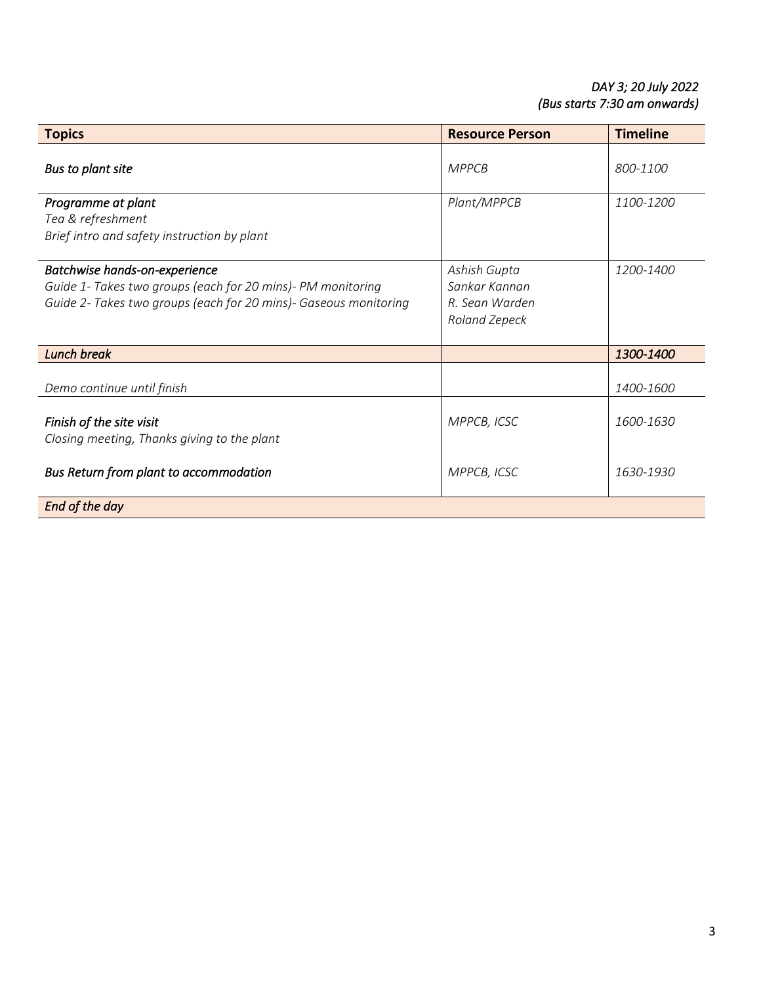### *DAY 3; 20 July 2022 (Bus starts 7:30 am onwards)*

| <b>Topics</b>                                                                                                                                                    | <b>Resource Person</b>                                           | <b>Timeline</b> |
|------------------------------------------------------------------------------------------------------------------------------------------------------------------|------------------------------------------------------------------|-----------------|
| Bus to plant site                                                                                                                                                | <b>MPPCB</b>                                                     | 800-1100        |
| Programme at plant<br>Tea & refreshment<br>Brief intro and safety instruction by plant                                                                           | Plant/MPPCB                                                      | 1100-1200       |
| Batchwise hands-on-experience<br>Guide 1- Takes two groups (each for 20 mins)- PM monitoring<br>Guide 2- Takes two groups (each for 20 mins)- Gaseous monitoring | Ashish Gupta<br>Sankar Kannan<br>R. Sean Warden<br>Roland Zepeck | 1200-1400       |
| Lunch break                                                                                                                                                      |                                                                  | 1300-1400       |
| Demo continue until finish                                                                                                                                       |                                                                  | 1400-1600       |
| Finish of the site visit<br>Closing meeting, Thanks giving to the plant                                                                                          | MPPCB, ICSC                                                      | 1600-1630       |
| Bus Return from plant to accommodation                                                                                                                           | MPPCB, ICSC                                                      | 1630-1930       |
| End of the day                                                                                                                                                   |                                                                  |                 |